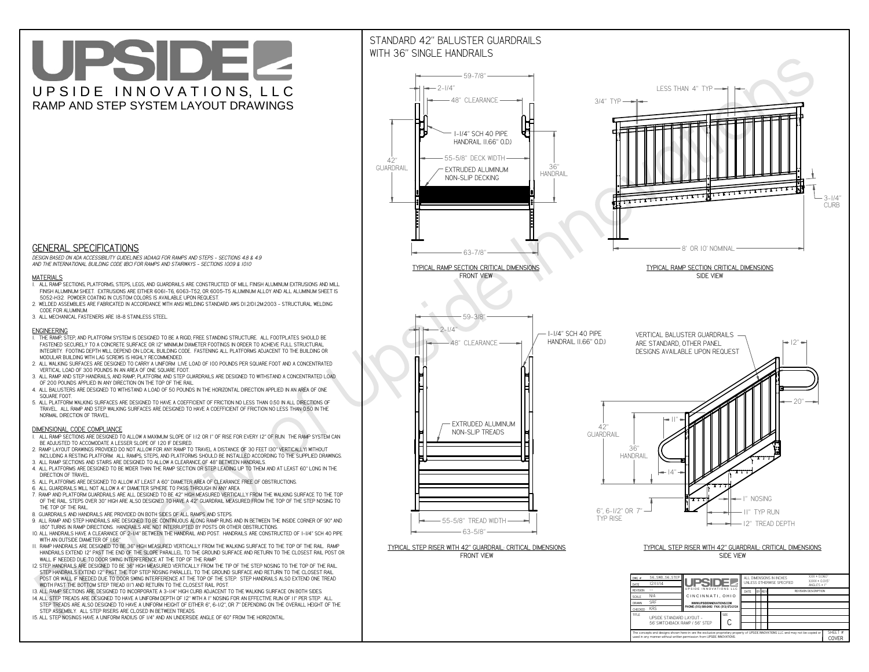**C**The concepts and designs shown here-in are the exclusive proprietary property of UPSIDE INNOVATIONS LLC. and may not be copied o

**I** 

**used in any manner without written permission from UPSIDE INNOVATIONS.**

# UPSIDEL UPSIDE INNOVATIONS, LLC RAMP AND STEP SYSTEM LAYOUT DRAWINGS

SHEET #**COVER**

56' SWITCHBACK RAMP / 56" STEP



# WITH 36" SINGLE HANDRAILS



 *DESIGN BASED ON ADA ACCESSIBILITY GUIDELINES (ADAAG) FOR RAMPS AND STEPS - SECTIONS 4.8 & 4.9AND THE INTERNATIONAL BUILDING CODE (IBC) FOR RAMPS AND STAIRWAYS - SECTIONS 1009 & 1010*

### **MATERIALS**

- **1. ALL RAMP SECTIONS, PLATFORMS, STEPS, LEGS, AND GUARDRAILS ARE CONSTRUCTED OF MILL FINISH ALUMINUM EXTRUSIONS AND MILL FINISH ALUMINUM SHEET. EXTRUSIONS ARE EITHER 6061-T6, 6063-T52, OR 6005-T5 ALUMINUM ALLOY AND ALL ALUMINUM SHEET IS 5052-H32. POWDER COATING IN CUSTOM COLORS IS AVAILABLE UPON REQUEST.**
- **2. WELDED ASSEMBLIES ARE FABRICATED IN ACCORDANCE WITH ANSI WELDING STANDARD AWS D1.2/D1.2M:2003 STRUCTURAL WELDING CODE FOR ALUMINUM.**
- **3. ALL MECHANICAL FASTENERS ARE 18-8 STAINLESS STEEL.**

#### **ENGINEERING**

- **1. THE RAMP, STEP, AND PLATFORM SYSTEM IS DESIGNED TO BE A RIGID, FREE STANDING STRUCTURE. ALL FOOTPLATES SHOULD BE FASTENED SECURELY TO A CONCRETE SURFACE OR 12" MINIMUM DIAMETER FOOTINGS IN ORDER TO ACHIEVE FULL STRUCTURAL INTEGRITY. FOOTING DEPTH WILL DEPEND ON LOCAL BUILDING CODE. FASTENING ALL PLATFORMS ADJACENT TO THE BUILDING OR MODULAR BUILDING WITH LAG SCREWS IS HIGHLY RECOMMENDED.**
- **2. ALL WALKING SURFACES ARE DESIGNED TO CARRY A UNIFORM LIVE LOAD OF 100 POUNDS PER SQUARE FOOT AND A CONCENTRATED VERTICAL LOAD OF 300 POUNDS IN AN AREA OF ONE SQUARE FOOT.**
- **3. ALL RAMP AND STEP HANDRAILS, AND RAMP, PLATFORM, AND STEP GUARDRAILS ARE DESIGNED TO WITHSTAND A CONCENTRATED LOAD OF 200 POUNDS APPLIED IN ANY DIRECTION ON THE TOP OF THE RAIL.**
- **4. ALL BALUSTERS ARE DESIGNED TO WITHSTAND A LOAD OF 50 POUNDS IN THE HORIZONTAL DIRECTION APPLIED IN AN AREA OF ONE SQUARE FOOT.**
- **5. ALL PLATFORM WALKING SURFACES ARE DESIGNED TO HAVE A COEFFICIENT OF FRICTION NO LESS THAN 0.50 IN ALL DIRECTIONS OF TRAVEL. ALL RAMP AND STEP WALKING SURFACES ARE DESIGNED TO HAVE A COEFFICIENT OF FRICTION NO LESS THAN 0.50 IN THE NORMAL DIRECTION OF TRAVEL.**

### **DIMENSIONAL CODE COMPLIANCE**

- **1. ALL RAMP SECTIONS ARE DESIGNED TO ALLOW A MAXIMUM SLOPE OF 1:12 OR 1" OF RISE FOR EVERY 12" OF RUN. THE RAMP SYSTEM CAN BE ADJUSTED TO ACCOMODATE A LESSER SLOPE OF 1:20 IF DESIRED.**
- **2. RAMP LAYOUT DRAWINGS PROVIDED DO NOT ALLOW FOR ANY RAMP TO TRAVEL A DISTANCE OF 30 FEET (30" VERTICALLY) WITHOUT INCLUDING A RESTING PLATFORM. ALL RAMPS, STEPS, AND PLATFORMS SHOULD BE INSTALLED ACCORDING TO THE SUPPLIED DRAWINGS.**
- **3. ALL RAMP SECTIONS AND STAIRS ARE DESIGNED TO ALLOW A CLEARANCE OF 48" BETWEEN HANDRAILS.**
- **4. ALL PLATFORMS ARE DESIGNED TO BE WIDER THAN THE RAMP SECTION OR STEP LEADING UP TO THEM AND AT LEAST 60" LONG IN THE DIRECTION OF TRAVEL.**
- **5. ALL PLATFORMS ARE DESIGNED TO ALLOW AT LEAST A 60" DIAMETER AREA OF CLEARANCE FREE OF OBSTRUCTIONS.**
- **6. ALL GUARDRAILS WILL NOT ALLOW A 4" DIAMETER SPHERE TO PASS THROUGH IN ANY AREA.**
- **7. RAMP AND PLATFORM GUARDRAILS ARE ALL DESIGNED TO BE 42" HIGH MEASURED VERTICALLY FROM THE WALKING SURFACE TO THE TOP OF THE RAIL. STEPS OVER 30" HIGH ARE ALSO DESIGNED TO HAVE A 42" GUARDRAIL MEASURED FROM THE TOP OF THE STEP NOSING TO THE TOP OF THE RAIL.**
- **8. GUARDRAILS AND HANDRAILS ARE PROVIDED ON BOTH SIDES OF ALL RAMPS AND STEPS.**
- **9. ALL RAMP AND STEP HANDRAILS ARE DESIGNED TO BE CONTINUOUS ALONG RAMP RUNS AND IN BETWEEN THE INSIDE CORNER OF 90° AND 180° TURNS IN RAMP DIRECTIONS. HANDRAILS ARE NOT INTERRUPTED BY POSTS OR OTHER OBSTRUCTIONS.**
- **10. ALL HANDRAILS HAVE A CLEARANCE OF 2-1/4" BETWEEN THE HANDRAIL AND POST. HANDRAILS ARE CONSTRUCTED OF 1-1/4" SCH 40 PIPE WITH AN OUTSIDE DIAMETER OF 1.66"**
- **11. RAMP HANDRAILS ARE DESIGNED TO BE 36" HIGH MEASURED VERTICALLY FROM THE WALKING SURFACE TO THE TOP OF THE RAIL. RAMP HANDRAILS EXTEND 12" PAST THE END OF THE SLOPE PARALLEL TO THE GROUND SURFACE AND RETURN TO THE CLOSEST RAIL POST OR WALL IF NEEDED DUE TO DOOR SWING INTERFERENCE AT THE TOP OF THE RAMP.**
- **12. STEP HANDRAILS ARE DESIGNED TO BE 36" HIGH MEASURED VERTICALLY FROM THE TIP OF THE STEP NOSING TO THE TOP OF THE RAIL. STEP HANDRAILS EXTEND 12" PAST THE TOP STEP NOSING PARALLEL TO THE GROUND SURFACE AND RETURN TO THE CLOSEST RAIL POST OR WALL IF NEEDED DUE TO DOOR SWING INTERFERENCE AT THE TOP OF THE STEP. STEP HANDRAILS ALSO EXTEND ONE TREAD WIDTH PAST THE BOTTOM STEP TREAD (11") AND RETURN TO THE CLOSEST RAIL POST.**
- **13. ALL RAMP SECTIONS ARE DESIGNED TO INCORPORATE A 3-1/4" HIGH CURB ADJACENT TO THE WALKING SURFACE ON BOTH SIDES.**
- **14. ALL STEP TREADS ARE DESIGNED TO HAVE A UNIFORM DEPTH OF 12" WITH A 1" NOSING FOR AN EFFECTIVE RUN OF 11" PER STEP. ALL**
- **STEP TREADS ARE ALSO DESIGNED TO HAVE A UNIFORM HEIGHT OF EITHER 6", 6-1/2", OR 7" DEPENDING ON THE OVERALL HEIGHT OF THE STEP ASSEMBLY. ALL STEP RISERS ARE CLOSED IN BETWEEN TREADS.**
- **15. ALL STEP NOSINGS HAVE A UNIFORM RADIUS OF 1/4" AND AN UNDERSIDE ANGLE OF 60° FROM THE HORIZONTAL.**